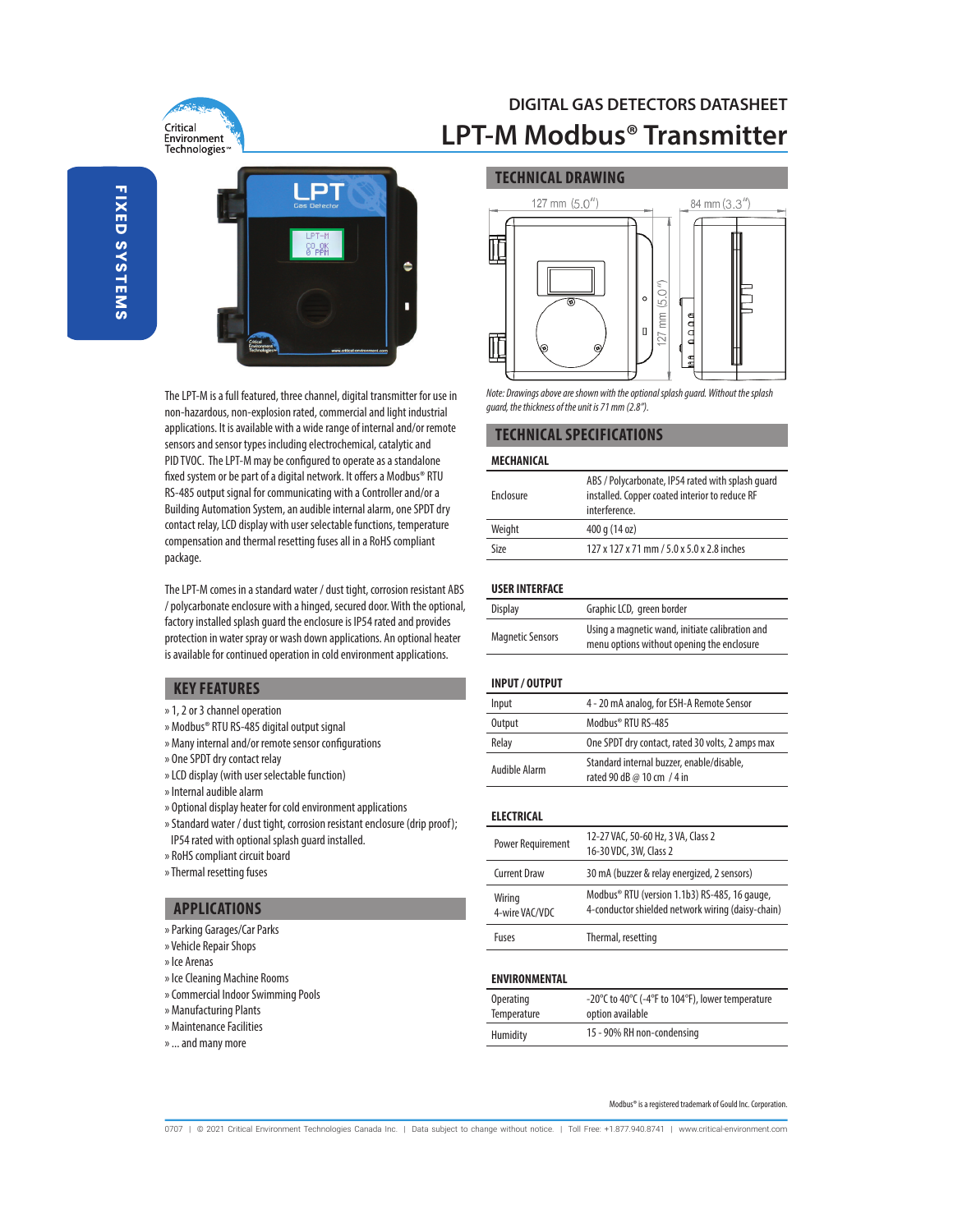

## **DIGITAL GAS DETECTORS DATASHEET LPT-M Modbus® Transmitter**



The LPT-M is a full featured, three channel, digital transmitter for use in non-hazardous, non-explosion rated, commercial and light industrial applications. It is available with a wide range of internal and/or remote sensors and sensor types including electrochemical, catalytic and PID TVOC. The LPT-M may be configured to operate as a standalone fixed system or be part of a digital network. It offers a Modbus® RTU RS-485 output signal for communicating with a Controller and/or a Building Automation System, an audible internal alarm, one SPDT dry contact relay, LCD display with user selectable functions, temperature compensation and thermal resetting fuses all in a RoHS compliant package.

The LPT-M comes in a standard water / dust tight, corrosion resistant ABS / polycarbonate enclosure with a hinged, secured door. With the optional, factory installed splash guard the enclosure is IP54 rated and provides protection in water spray or wash down applications. An optional heater is available for continued operation in cold environment applications.

## **KEY FEATURES**

- » 1, 2 or 3 channel operation
- » Modbus® RTU RS-485 digital output signal
- » Many internal and/or remote sensor configurations
- » One SPDT dry contact relay
- » LCD display (with user selectable function)
- » Internal audible alarm
- » Optional display heater for cold environment applications
- » Standard water / dust tight, corrosion resistant enclosure (drip proof); IP54 rated with optional splash guard installed.
- » RoHS compliant circuit board
- » Thermal resetting fuses

## **APPLICATIONS**

- » Parking Garages/Car Parks
- » Vehicle Repair Shops
- » Ice Arenas
- » Ice Cleaning Machine Rooms
- » Commercial Indoor Swimming Pools
- » Manufacturing Plants
- » Maintenance Facilities
- » ... and many more

## **TECHNICAL DRAWING**



Note: Drawings above are shown with the optional splash guard. Without the splash guard, the thickness of the unit is 71 mm (2.8").

## **TECHNICAL SPECIFICATIONS**

#### **MECHANICAL**

| Enclosure | ABS / Polycarbonate, IP54 rated with splash guard<br>installed. Copper coated interior to reduce RF<br>interference. |
|-----------|----------------------------------------------------------------------------------------------------------------------|
| Weight    | 400 g (14 oz)                                                                                                        |
| Size      | 127 x 127 x 71 mm / 5.0 x 5.0 x 2.8 inches                                                                           |

#### **USER INTERFACE**

| <b>Display</b>          | Graphic LCD, green border                                                                     |
|-------------------------|-----------------------------------------------------------------------------------------------|
| <b>Magnetic Sensors</b> | Using a magnetic wand, initiate calibration and<br>menu options without opening the enclosure |

## **INPUT / OUTPUT**

| Input         | 4 - 20 mA analog, for ESH-A Remote Sensor                               |
|---------------|-------------------------------------------------------------------------|
| Output        | Modbus® RTU RS-485                                                      |
| Relay         | One SPDT dry contact, rated 30 volts, 2 amps max                        |
| Audible Alarm | Standard internal buzzer, enable/disable,<br>rated 90 dB @ 10 cm / 4 in |

### **ELECTRICAL**

| Power Requirement        | 12-27 VAC, 50-60 Hz, 3 VA, Class 2<br>16-30 VDC, 3W, Class 2                                       |
|--------------------------|----------------------------------------------------------------------------------------------------|
| <b>Current Draw</b>      | 30 mA (buzzer & relay energized, 2 sensors)                                                        |
| Wiring<br>4-wire VAC/VDC | Modbus® RTU (version 1.1b3) RS-485, 16 gauge,<br>4-conductor shielded network wiring (daisy-chain) |
| Fuses                    | Thermal, resetting                                                                                 |

## **ENVIRONMENTAL**

| <b>Operating</b> | -20°C to 40°C (-4°F to 104°F), lower temperature |
|------------------|--------------------------------------------------|
| Temperature      | option available                                 |
| Humidity         | 15 - 90% RH non-condensing                       |

Modbus® is a registered trademark of Gould Inc. Corporation.